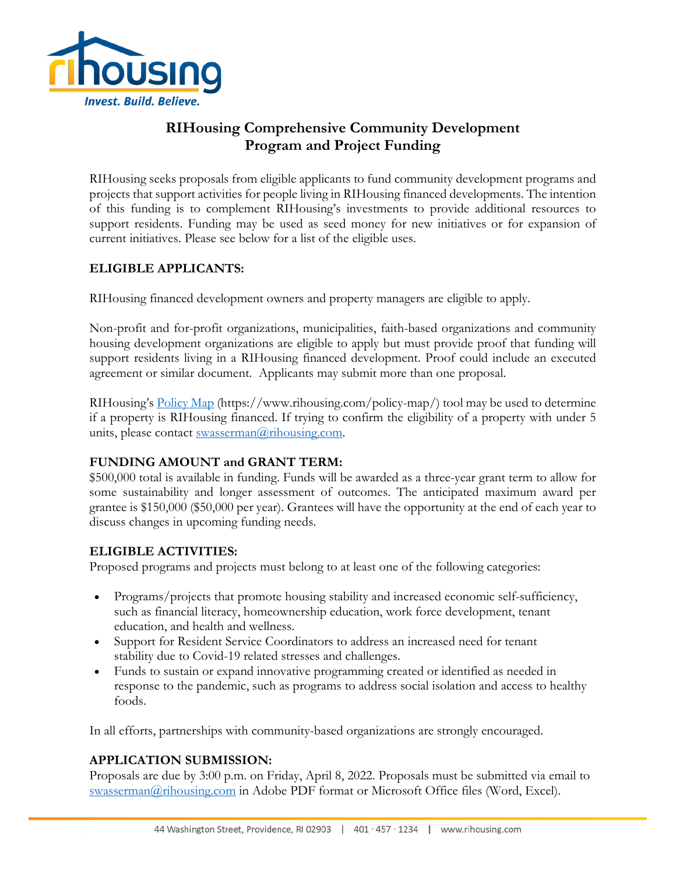

# **RIHousing Comprehensive Community Development Program and Project Funding**

RIHousing seeks proposals from eligible applicants to fund community development programs and projects that support activities for people living in RIHousing financed developments. The intention of this funding is to complement RIHousing's investments to provide additional resources to support residents. Funding may be used as seed money for new initiatives or for expansion of current initiatives. Please see below for a list of the eligible uses.

## **ELIGIBLE APPLICANTS:**

RIHousing financed development owners and property managers are eligible to apply.

Non-profit and for-profit organizations, municipalities, faith-based organizations and community housing development organizations are eligible to apply but must provide proof that funding will support residents living in a RIHousing financed development. Proof could include an executed agreement or similar document. Applicants may submit more than one proposal.

RIHousing's [Policy Map](https://www.rihousing.com/policy-map/) (https://www.rihousing.com/policy-map/) tool may be used to determine if a property is RIHousing financed. If trying to confirm the eligibility of a property with under 5 units, please contact [swasserman@rihousing.com.](mailto:swasserman@rihousing.com)

## **FUNDING AMOUNT and GRANT TERM:**

\$500,000 total is available in funding. Funds will be awarded as a three-year grant term to allow for some sustainability and longer assessment of outcomes. The anticipated maximum award per grantee is \$150,000 (\$50,000 per year). Grantees will have the opportunity at the end of each year to discuss changes in upcoming funding needs.

#### **ELIGIBLE ACTIVITIES:**

Proposed programs and projects must belong to at least one of the following categories:

- Programs/projects that promote housing stability and increased economic self-sufficiency, such as financial literacy, homeownership education, work force development, tenant education, and health and wellness.
- Support for Resident Service Coordinators to address an increased need for tenant stability due to Covid-19 related stresses and challenges.
- Funds to sustain or expand innovative programming created or identified as needed in response to the pandemic, such as programs to address social isolation and access to healthy foods.

In all efforts, partnerships with community-based organizations are strongly encouraged.

## **APPLICATION SUBMISSION:**

Proposals are due by 3:00 p.m. on Friday, April 8, 2022. Proposals must be submitted via email to [swasserman@rihousing.com](mailto:swasserman@rihousing.com) in Adobe PDF format or Microsoft Office files (Word, Excel).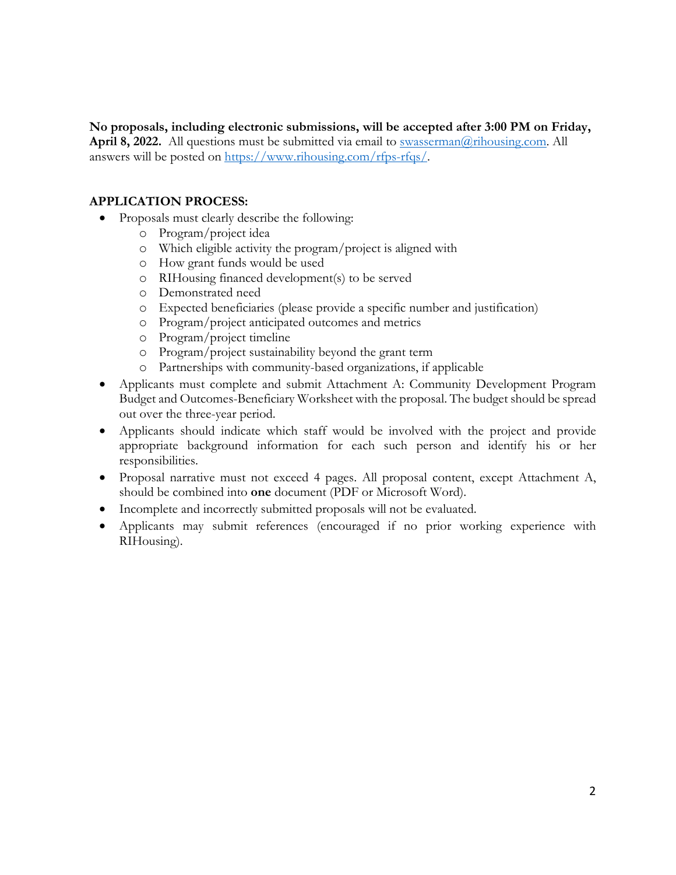**No proposals, including electronic submissions, will be accepted after 3:00 PM on Friday, April 8, 2022.** All questions must be submitted via email to [swasserman@rihousing.com.](mailto:swasserman@rihousing.com) All answers will be posted on [https://www.rihousing.com/rfps-rfqs/.](https://www.rihousing.com/rfps-rfqs/)

### **APPLICATION PROCESS:**

- Proposals must clearly describe the following:
	- o Program/project idea
	- o Which eligible activity the program/project is aligned with
	- o How grant funds would be used
	- o RIHousing financed development(s) to be served
	- o Demonstrated need
	- o Expected beneficiaries (please provide a specific number and justification)
	- o Program/project anticipated outcomes and metrics
	- o Program/project timeline
	- o Program/project sustainability beyond the grant term
	- o Partnerships with community-based organizations, if applicable
- Applicants must complete and submit Attachment A: Community Development Program Budget and Outcomes-Beneficiary Worksheet with the proposal. The budget should be spread out over the three-year period.
- Applicants should indicate which staff would be involved with the project and provide appropriate background information for each such person and identify his or her responsibilities.
- Proposal narrative must not exceed 4 pages. All proposal content, except Attachment A, should be combined into **one** document (PDF or Microsoft Word).
- Incomplete and incorrectly submitted proposals will not be evaluated.
- Applicants may submit references (encouraged if no prior working experience with RIHousing).